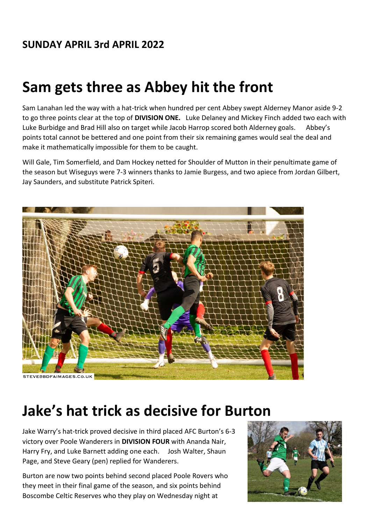## **SUNDAY APRIL 3rd APRIL 2022**

## **Sam gets three as Abbey hit the front**

Sam Lanahan led the way with a hat-trick when hundred per cent Abbey swept Alderney Manor aside 9-2 to go three points clear at the top of **DIVISION ONE.** Luke Delaney and Mickey Finch added two each with Luke Burbidge and Brad Hill also on target while Jacob Harrop scored both Alderney goals. Abbey's points total cannot be bettered and one point from their six remaining games would seal the deal and make it mathematically impossible for them to be caught.

Will Gale, Tim Somerfield, and Dam Hockey netted for Shoulder of Mutton in their penultimate game of the season but Wiseguys were 7-3 winners thanks to Jamie Burgess, and two apiece from Jordan Gilbert, Jay Saunders, and substitute Patrick Spiteri.



## **Jake's hat trick as decisive for Burton**

Jake Warry's hat-trick proved decisive in third placed AFC Burton's 6-3 victory over Poole Wanderers in **DIVISION FOUR** with Ananda Nair, Harry Fry, and Luke Barnett adding one each. Josh Walter, Shaun Page, and Steve Geary (pen) replied for Wanderers.

Burton are now two points behind second placed Poole Rovers who they meet in their final game of the season, and six points behind Boscombe Celtic Reserves who they play on Wednesday night at